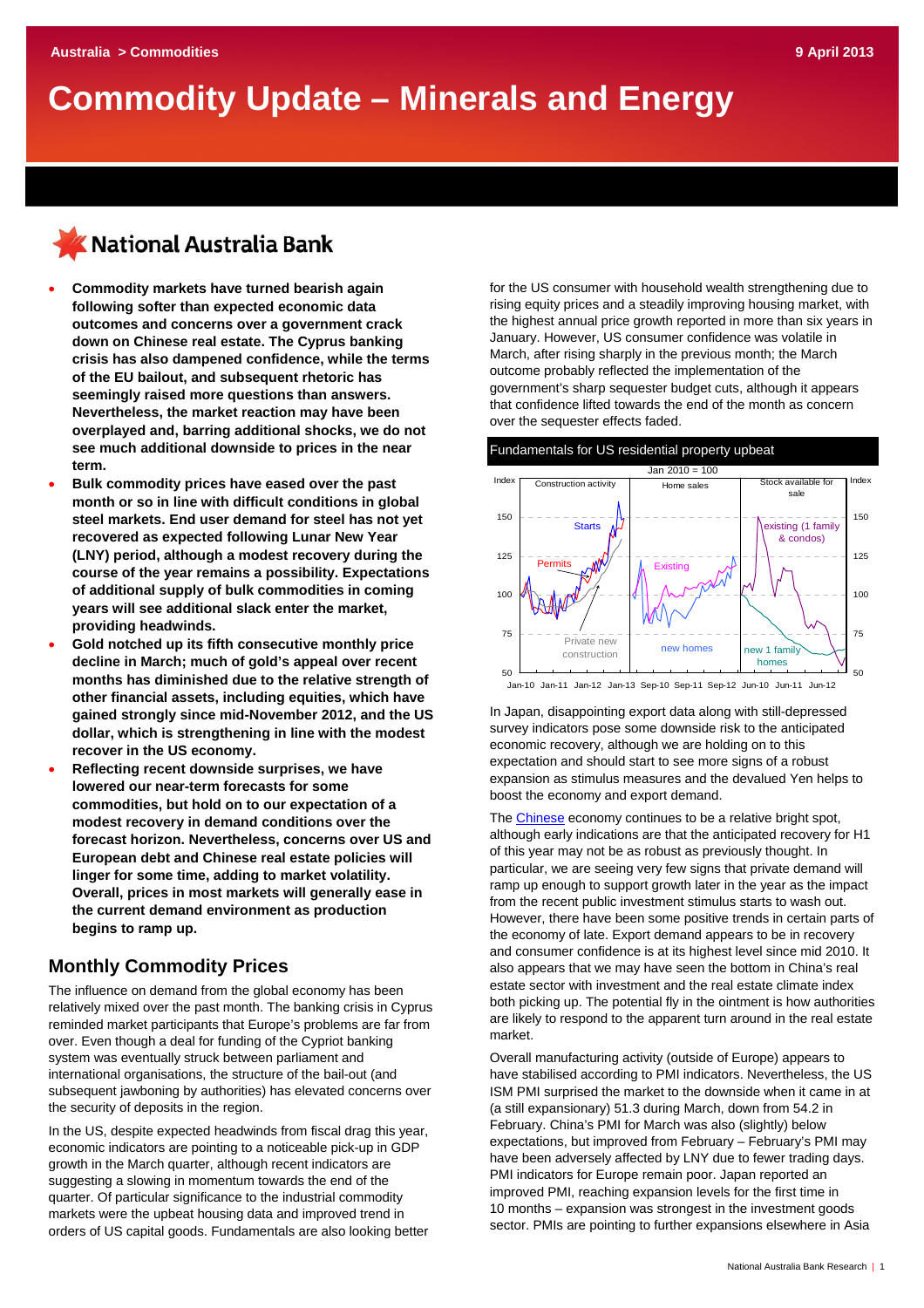# **Commodity Update – Minerals and Energy**

# KNational Australia Bank

- **Commodity markets have turned bearish again following softer than expected economic data outcomes and concerns over a government crack down on Chinese real estate. The Cyprus banking crisis has also dampened confidence, while the terms of the EU bailout, and subsequent rhetoric has seemingly raised more questions than answers. Nevertheless, the market reaction may have been overplayed and, barring additional shocks, we do not see much additional downside to prices in the near term.**
- **Bulk commodity prices have eased over the past month or so in line with difficult conditions in global steel markets. End user demand for steel has not yet recovered as expected following Lunar New Year (LNY) period, although a modest recovery during the course of the year remains a possibility. Expectations of additional supply of bulk commodities in coming years will see additional slack enter the market, providing headwinds.**
- **Gold notched up its fifth consecutive monthly price decline in March; much of gold's appeal over recent months has diminished due to the relative strength of other financial assets, including equities, which have gained strongly since mid-November 2012, and the US dollar, which is strengthening in line with the modest recover in the US economy.**
- **Reflecting recent downside surprises, we have lowered our near-term forecasts for some commodities, but hold on to our expectation of a modest recovery in demand conditions over the forecast horizon. Nevertheless, concerns over US and European debt and Chinese real estate policies will linger for some time, adding to market volatility. Overall, prices in most markets will generally ease in the current demand environment as production begins to ramp up.**

## **Monthly Commodity Prices**

The influence on demand from the global economy has been relatively mixed over the past month. The banking crisis in Cyprus reminded market participants that Europe's problems are far from over. Even though a deal for funding of the Cypriot banking system was eventually struck between parliament and international organisations, the structure of the bail-out (and subsequent jawboning by authorities) has elevated concerns over the security of deposits in the region.

In the US, despite expected headwinds from fiscal drag this year, economic indicators are pointing to a noticeable pick-up in GDP growth in the March quarter, although recent indicators are suggesting a slowing in momentum towards the end of the quarter. Of particular significance to the industrial commodity markets were the upbeat housing data and improved trend in orders of US capital goods. Fundamentals are also looking better for the US consumer with household wealth strengthening due to rising equity prices and a steadily improving housing market, with the highest annual price growth reported in more than six years in January. However, US consumer confidence was volatile in March, after rising sharply in the previous month; the March outcome probably reflected the implementation of the government's sharp sequester budget cuts, although it appears that confidence lifted towards the end of the month as concern over the sequester effects faded.



In Japan, disappointing export data along with still-depressed survey indicators pose some downside risk to the anticipated economic recovery, although we are holding on to this expectation and should start to see more signs of a robust expansion as stimulus measures and the devalued Yen helps to boost the economy and export demand.

The [Chinese](http://business.nab.com.au/) economy continues to be a relative bright spot, although early indications are that the anticipated recovery for H1 of this year may not be as robust as previously thought. In particular, we are seeing very few signs that private demand will ramp up enough to support growth later in the year as the impact from the recent public investment stimulus starts to wash out. However, there have been some positive trends in certain parts of the economy of late. Export demand appears to be in recovery and consumer confidence is at its highest level since mid 2010. It also appears that we may have seen the bottom in China's real estate sector with investment and the real estate climate index both picking up. The potential fly in the ointment is how authorities are likely to respond to the apparent turn around in the real estate market.

Overall manufacturing activity (outside of Europe) appears to have stabilised according to PMI indicators. Nevertheless, the US ISM PMI surprised the market to the downside when it came in at (a still expansionary) 51.3 during March, down from 54.2 in February. China's PMI for March was also (slightly) below expectations, but improved from February – February's PMI may have been adversely affected by LNY due to fewer trading days. PMI indicators for Europe remain poor. Japan reported an improved PMI, reaching expansion levels for the first time in 10 months – expansion was strongest in the investment goods sector. PMIs are pointing to further expansions elsewhere in Asia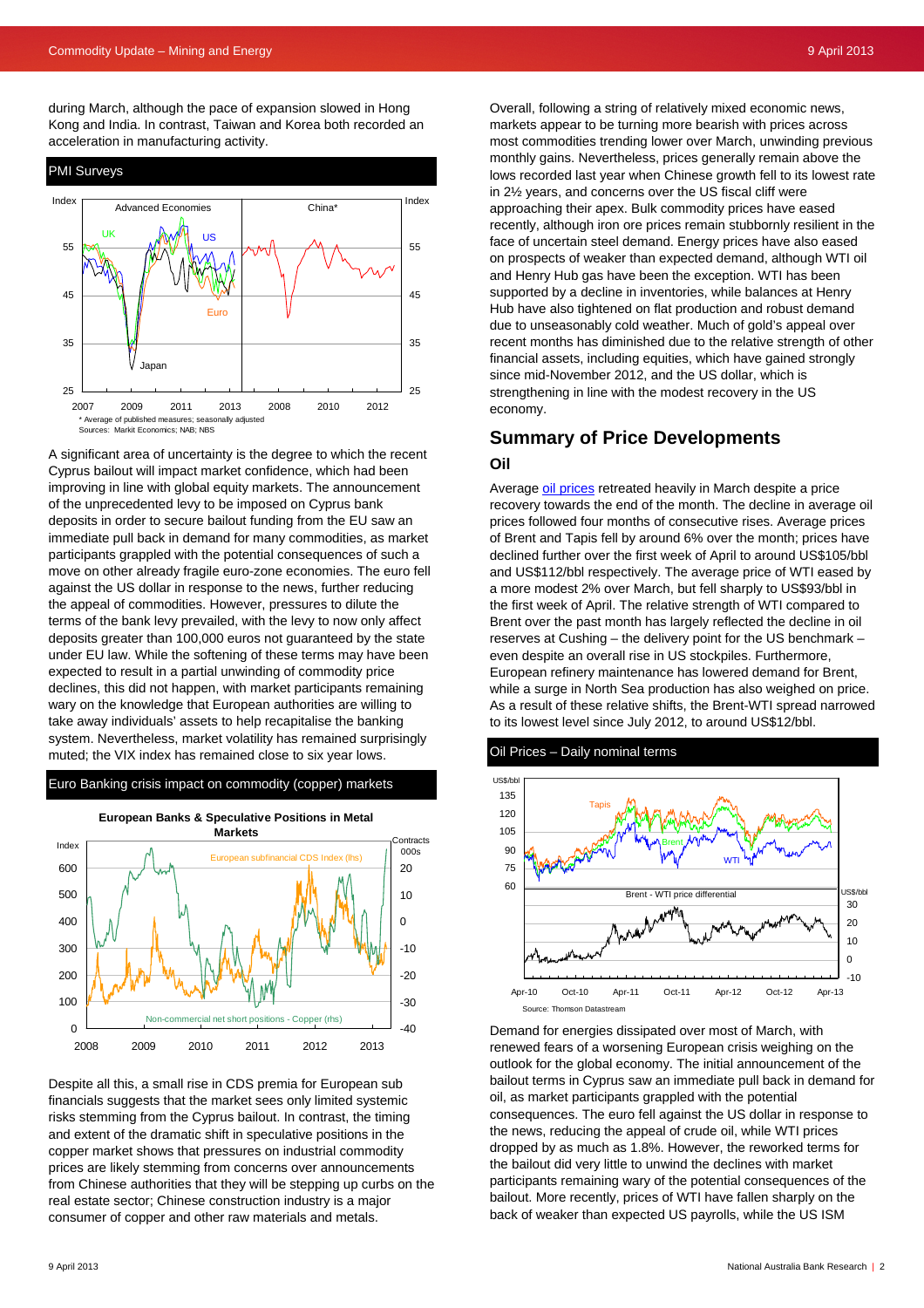during March, although the pace of expansion slowed in Hong Kong and India. In contrast, Taiwan and Korea both recorded an acceleration in manufacturing activity.



A significant area of uncertainty is the degree to which the recent Cyprus bailout will impact market confidence, which had been improving in line with global equity markets. The announcement of the unprecedented levy to be imposed on Cyprus bank deposits in order to secure bailout funding from the EU saw an immediate pull back in demand for many commodities, as market participants grappled with the potential consequences of such a move on other already fragile euro-zone economies. The euro fell against the US dollar in response to the news, further reducing the appeal of commodities. However, pressures to dilute the terms of the bank levy prevailed, with the levy to now only affect deposits greater than 100,000 euros not guaranteed by the state under EU law. While the softening of these terms may have been expected to result in a partial unwinding of commodity price declines, this did not happen, with market participants remaining wary on the knowledge that European authorities are willing to take away individuals' assets to help recapitalise the banking system. Nevertheless, market volatility has remained surprisingly muted; the VIX index has remained close to six year lows.



Despite all this, a small rise in CDS premia for European sub financials suggests that the market sees only limited systemic risks stemming from the Cyprus bailout. In contrast, the timing and extent of the dramatic shift in speculative positions in the copper market shows that pressures on industrial commodity prices are likely stemming from concerns over announcements from Chinese authorities that they will be stepping up curbs on the real estate sector; Chinese construction industry is a major consumer of copper and other raw materials and metals.

Overall, following a string of relatively mixed economic news, markets appear to be turning more bearish with prices across most commodities trending lower over March, unwinding previous monthly gains. Nevertheless, prices generally remain above the lows recorded last year when Chinese growth fell to its lowest rate in 2½ years, and concerns over the US fiscal cliff were approaching their apex. Bulk commodity prices have eased recently, although iron ore prices remain stubbornly resilient in the face of uncertain steel demand. Energy prices have also eased on prospects of weaker than expected demand, although WTI oil and Henry Hub gas have been the exception. WTI has been supported by a decline in inventories, while balances at Henry Hub have also tightened on flat production and robust demand due to unseasonably cold weather. Much of gold's appeal over recent months has diminished due to the relative strength of other financial assets, including equities, which have gained strongly since mid-November 2012, and the US dollar, which is strengthening in line with the modest recovery in the US economy.

## **Summary of Price Developments Oil**

Average [oil prices](http://www.nab.com.au/wps/wcm/connect/nab/nab/home/business_solutions/10/1/13) retreated heavily in March despite a price recovery towards the end of the month. The decline in average oil prices followed four months of consecutive rises. Average prices of Brent and Tapis fell by around 6% over the month; prices have declined further over the first week of April to around US\$105/bbl and US\$112/bbl respectively. The average price of WTI eased by a more modest 2% over March, but fell sharply to US\$93/bbl in the first week of April. The relative strength of WTI compared to Brent over the past month has largely reflected the decline in oil reserves at Cushing – the delivery point for the US benchmark – even despite an overall rise in US stockpiles. Furthermore, European refinery maintenance has lowered demand for Brent, while a surge in North Sea production has also weighed on price. As a result of these relative shifts, the Brent-WTI spread narrowed to its lowest level since July 2012, to around US\$12/bbl.



Demand for energies dissipated over most of March, with renewed fears of a worsening European crisis weighing on the outlook for the global economy. The initial announcement of the bailout terms in Cyprus saw an immediate pull back in demand for oil, as market participants grappled with the potential consequences. The euro fell against the US dollar in response to the news, reducing the appeal of crude oil, while WTI prices dropped by as much as 1.8%. However, the reworked terms for the bailout did very little to unwind the declines with market participants remaining wary of the potential consequences of the bailout. More recently, prices of WTI have fallen sharply on the back of weaker than expected US payrolls, while the US ISM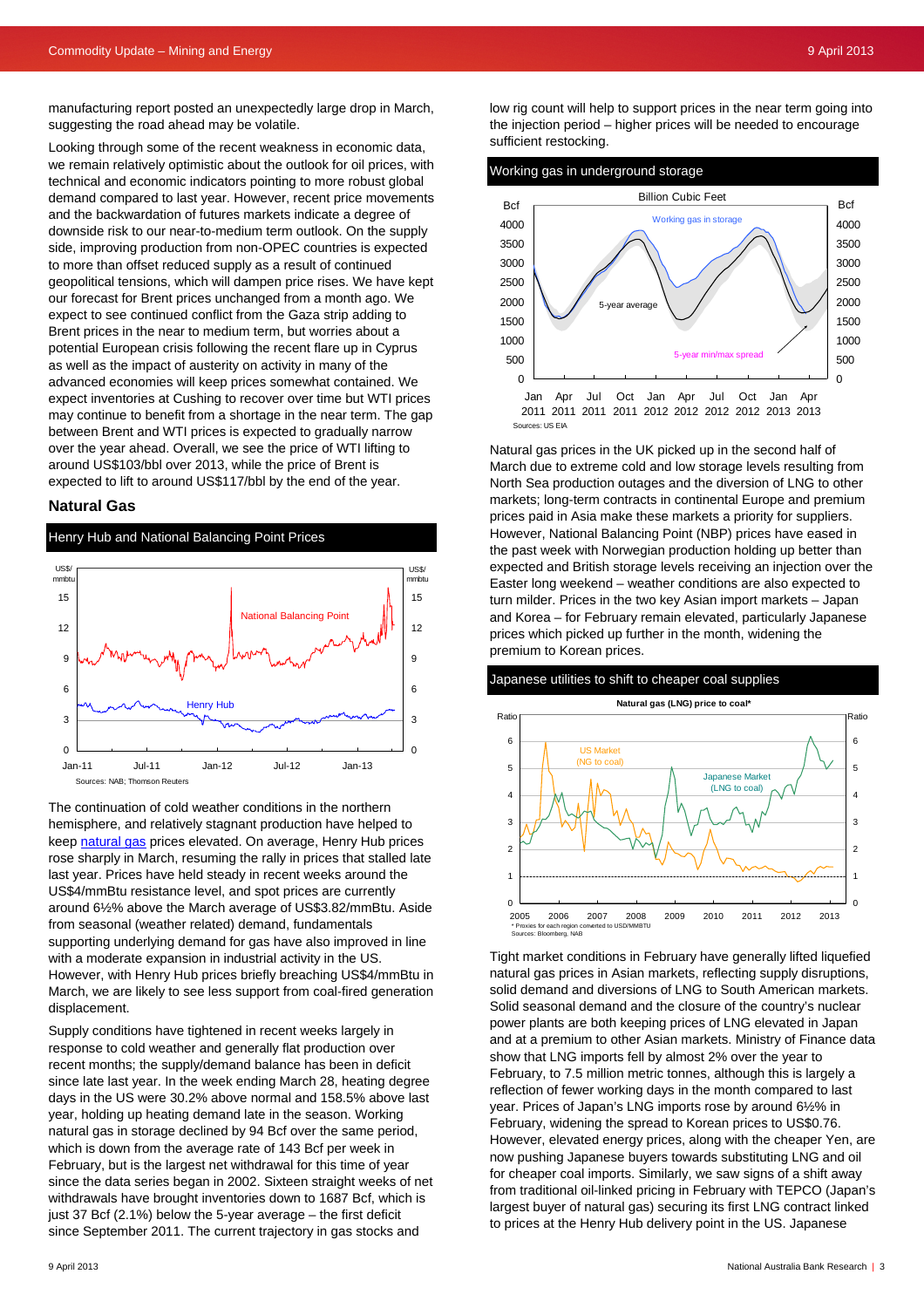manufacturing report posted an unexpectedly large drop in March, suggesting the road ahead may be volatile.

Looking through some of the recent weakness in economic data, we remain relatively optimistic about the outlook for oil prices, with technical and economic indicators pointing to more robust global demand compared to last year. However, recent price movements and the backwardation of futures markets indicate a degree of downside risk to our near-to-medium term outlook. On the supply side, improving production from non-OPEC countries is expected to more than offset reduced supply as a result of continued geopolitical tensions, which will dampen price rises. We have kept our forecast for Brent prices unchanged from a month ago. We expect to see continued conflict from the Gaza strip adding to Brent prices in the near to medium term, but worries about a potential European crisis following the recent flare up in Cyprus as well as the impact of austerity on activity in many of the advanced economies will keep prices somewhat contained. We expect inventories at Cushing to recover over time but WTI prices may continue to benefit from a shortage in the near term. The gap between Brent and WTI prices is expected to gradually narrow over the year ahead. Overall, we see the price of WTI lifting to around US\$103/bbl over 2013, while the price of Brent is expected to lift to around US\$117/bbl by the end of the year.

#### **Natural Gas**

Henry Hub and National Balancing Point Prices



The continuation of cold weather conditions in the northern hemisphere, and relatively stagnant production have helped to keep [natural gas](http://www.nab.com.au/wps/wcm/connect/nab/nab/home/business_solutions/10/1/13) prices elevated. On average, Henry Hub prices rose sharply in March, resuming the rally in prices that stalled late last year. Prices have held steady in recent weeks around the US\$4/mmBtu resistance level, and spot prices are currently around 6½% above the March average of US\$3.82/mmBtu. Aside from seasonal (weather related) demand, fundamentals supporting underlying demand for gas have also improved in line with a moderate expansion in industrial activity in the US. However, with Henry Hub prices briefly breaching US\$4/mmBtu in March, we are likely to see less support from coal-fired generation displacement.

Supply conditions have tightened in recent weeks largely in response to cold weather and generally flat production over recent months; the supply/demand balance has been in deficit since late last year. In the week ending March 28, heating degree days in the US were 30.2% above normal and 158.5% above last year, holding up heating demand late in the season. Working natural gas in storage declined by 94 Bcf over the same period, which is down from the average rate of 143 Bcf per week in February, but is the largest net withdrawal for this time of year since the data series began in 2002. Sixteen straight weeks of net withdrawals have brought inventories down to 1687 Bcf, which is just 37 Bcf (2.1%) below the 5-year average – the first deficit since September 2011. The current trajectory in gas stocks and

low rig count will help to support prices in the near term going into the injection period – higher prices will be needed to encourage sufficient restocking.





Natural gas prices in the UK picked up in the second half of March due to extreme cold and low storage levels resulting from North Sea production outages and the diversion of LNG to other markets; long-term contracts in continental Europe and premium prices paid in Asia make these markets a priority for suppliers. However, National Balancing Point (NBP) prices have eased in the past week with Norwegian production holding up better than expected and British storage levels receiving an injection over the Easter long weekend – weather conditions are also expected to turn milder. Prices in the two key Asian import markets – Japan and Korea – for February remain elevated, particularly Japanese prices which picked up further in the month, widening the premium to Korean prices.

#### Japanese utilities to shift to cheaper coal supplies



Tight market conditions in February have generally lifted liquefied natural gas prices in Asian markets, reflecting supply disruptions, solid demand and diversions of LNG to South American markets. Solid seasonal demand and the closure of the country's nuclear power plants are both keeping prices of LNG elevated in Japan and at a premium to other Asian markets. Ministry of Finance data show that LNG imports fell by almost 2% over the year to February, to 7.5 million metric tonnes, although this is largely a reflection of fewer working days in the month compared to last year. Prices of Japan's LNG imports rose by around 6½% in February, widening the spread to Korean prices to US\$0.76. However, elevated energy prices, along with the cheaper Yen, are now pushing Japanese buyers towards substituting LNG and oil for cheaper coal imports. Similarly, we saw signs of a shift away from traditional oil-linked pricing in February with TEPCO (Japan's largest buyer of natural gas) securing its first LNG contract linked to prices at the Henry Hub delivery point in the US. Japanese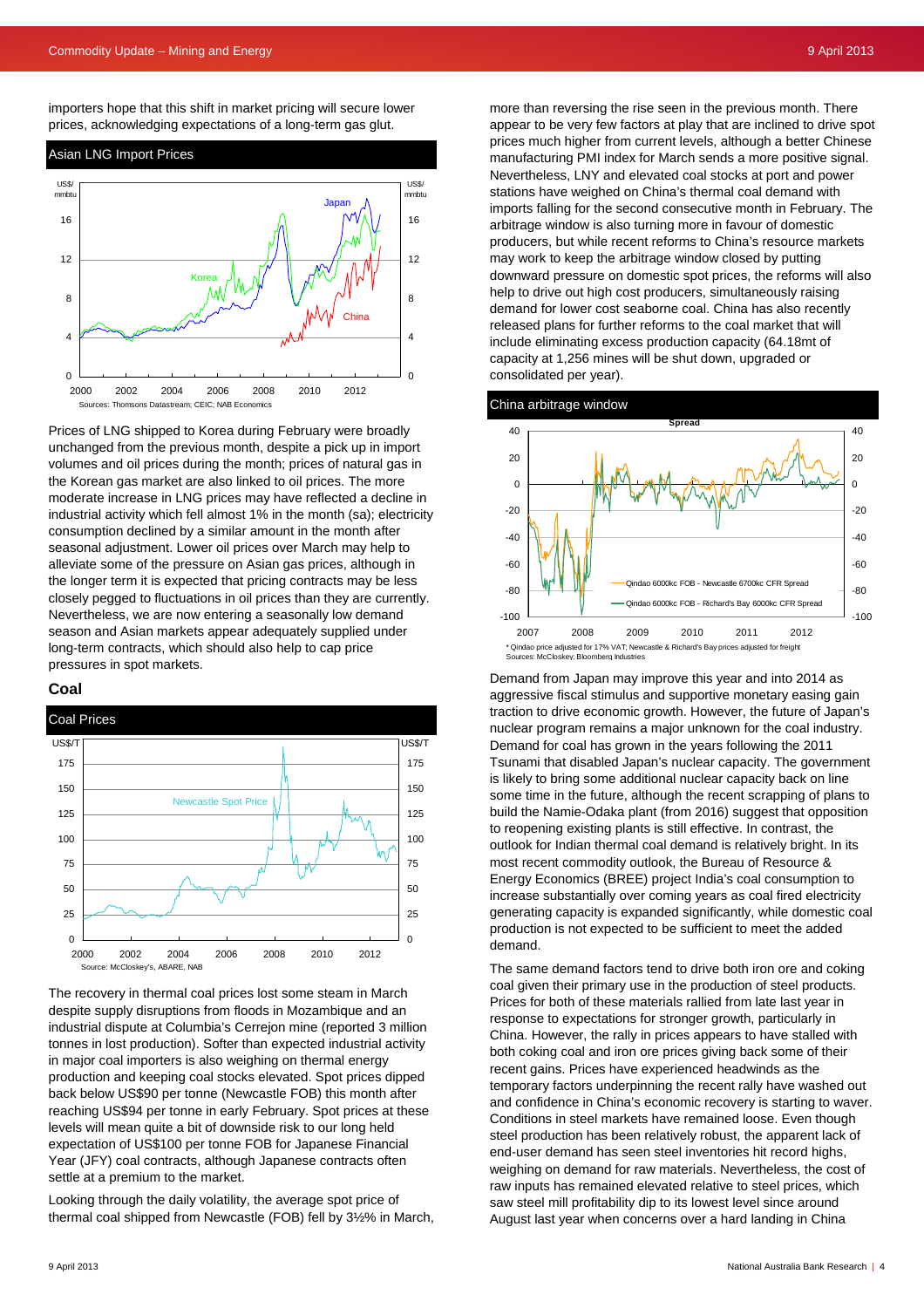importers hope that this shift in market pricing will secure lower prices, acknowledging expectations of a long-term gas glut.

![](_page_3_Figure_3.jpeg)

![](_page_3_Figure_4.jpeg)

Prices of LNG shipped to Korea during February were broadly unchanged from the previous month, despite a pick up in import volumes and oil prices during the month; prices of natural gas in the Korean gas market are also linked to oil prices. The more moderate increase in LNG prices may have reflected a decline in industrial activity which fell almost 1% in the month (sa); electricity consumption declined by a similar amount in the month after seasonal adjustment. Lower oil prices over March may help to alleviate some of the pressure on Asian gas prices, although in the longer term it is expected that pricing contracts may be less closely pegged to fluctuations in oil prices than they are currently. Nevertheless, we are now entering a seasonally low demand season and Asian markets appear adequately supplied under long-term contracts, which should also help to cap price pressures in spot markets.

![](_page_3_Figure_6.jpeg)

![](_page_3_Figure_7.jpeg)

The recovery in thermal coal prices lost some steam in March despite supply disruptions from floods in Mozambique and an industrial dispute at Columbia's Cerrejon mine (reported 3 million tonnes in lost production). Softer than expected industrial activity in major coal importers is also weighing on thermal energy production and keeping coal stocks elevated. Spot prices dipped back below US\$90 per tonne (Newcastle FOB) this month after reaching US\$94 per tonne in early February. Spot prices at these levels will mean quite a bit of downside risk to our long held expectation of US\$100 per tonne FOB for Japanese Financial Year (JFY) coal contracts, although Japanese contracts often settle at a premium to the market.

Looking through the daily volatility, the average spot price of thermal coal shipped from Newcastle (FOB) fell by 3½% in March,

more than reversing the rise seen in the previous month. There appear to be very few factors at play that are inclined to drive spot prices much higher from current levels, although a better Chinese manufacturing PMI index for March sends a more positive signal. Nevertheless, LNY and elevated coal stocks at port and power stations have weighed on China's thermal coal demand with imports falling for the second consecutive month in February. The arbitrage window is also turning more in favour of domestic producers, but while recent reforms to China's resource markets may work to keep the arbitrage window closed by putting downward pressure on domestic spot prices, the reforms will also help to drive out high cost producers, simultaneously raising demand for lower cost seaborne coal. China has also recently released plans for further reforms to the coal market that will include eliminating excess production capacity (64.18mt of capacity at 1,256 mines will be shut down, upgraded or consolidated per year).

![](_page_3_Figure_11.jpeg)

Demand from Japan may improve this year and into 2014 as aggressive fiscal stimulus and supportive monetary easing gain traction to drive economic growth. However, the future of Japan's nuclear program remains a major unknown for the coal industry. Demand for coal has grown in the years following the 2011 Tsunami that disabled Japan's nuclear capacity. The government is likely to bring some additional nuclear capacity back on line some time in the future, although the recent scrapping of plans to build the Namie-Odaka plant (from 2016) suggest that opposition to reopening existing plants is still effective. In contrast, the outlook for Indian thermal coal demand is relatively bright. In its most recent commodity outlook, the Bureau of Resource & Energy Economics (BREE) project India's coal consumption to increase substantially over coming years as coal fired electricity generating capacity is expanded significantly, while domestic coal production is not expected to be sufficient to meet the added demand.

The same demand factors tend to drive both iron ore and coking coal given their primary use in the production of steel products. Prices for both of these materials rallied from late last year in response to expectations for stronger growth, particularly in China. However, the rally in prices appears to have stalled with both coking coal and iron ore prices giving back some of their recent gains. Prices have experienced headwinds as the temporary factors underpinning the recent rally have washed out and confidence in China's economic recovery is starting to waver. Conditions in steel markets have remained loose. Even though steel production has been relatively robust, the apparent lack of end-user demand has seen steel inventories hit record highs, weighing on demand for raw materials. Nevertheless, the cost of raw inputs has remained elevated relative to steel prices, which saw steel mill profitability dip to its lowest level since around August last year when concerns over a hard landing in China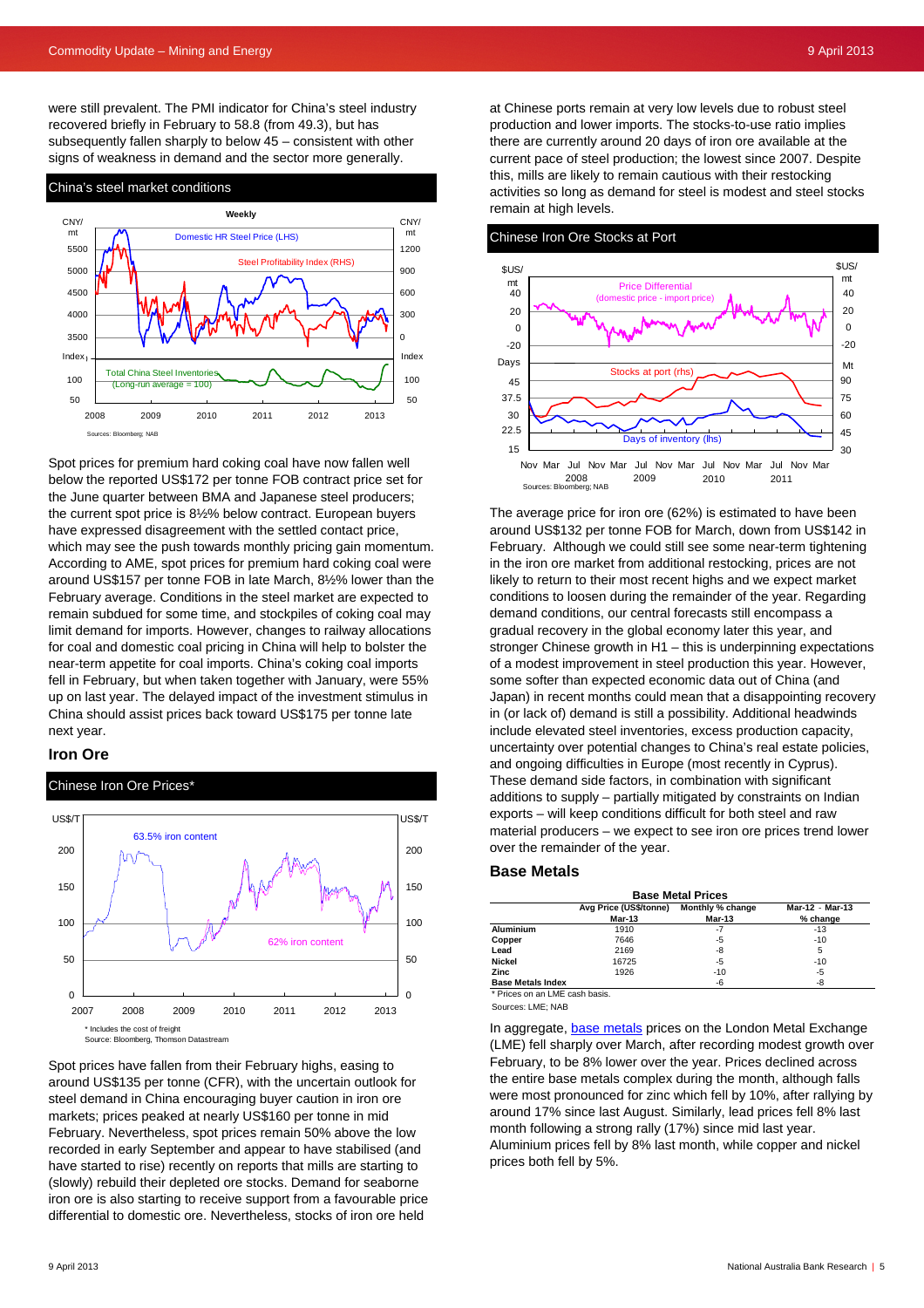were still prevalent. The PMI indicator for China's steel industry recovered briefly in February to 58.8 (from 49.3), but has subsequently fallen sharply to below 45 – consistent with other signs of weakness in demand and the sector more generally.

#### China's steel market conditions

![](_page_4_Figure_4.jpeg)

Spot prices for premium hard coking coal have now fallen well below the reported US\$172 per tonne FOB contract price set for the June quarter between BMA and Japanese steel producers; the current spot price is 8½% below contract. European buyers have expressed disagreement with the settled contact price, which may see the push towards monthly pricing gain momentum. According to AME, spot prices for premium hard coking coal were around US\$157 per tonne FOB in late March, 8½% lower than the February average. Conditions in the steel market are expected to remain subdued for some time, and stockpiles of coking coal may limit demand for imports. However, changes to railway allocations for coal and domestic coal pricing in China will help to bolster the near-term appetite for coal imports. China's coking coal imports fell in February, but when taken together with January, were 55% up on last year. The delayed impact of the investment stimulus in China should assist prices back toward US\$175 per tonne late next year.

#### **Iron Ore**

Chinese Iron Ore Prices\*

![](_page_4_Figure_8.jpeg)

Spot prices have fallen from their February highs, easing to around US\$135 per tonne (CFR), with the uncertain outlook for steel demand in China encouraging buyer caution in iron ore markets; prices peaked at nearly US\$160 per tonne in mid February. Nevertheless, spot prices remain 50% above the low recorded in early September and appear to have stabilised (and have started to rise) recently on reports that mills are starting to (slowly) rebuild their depleted ore stocks. Demand for seaborne iron ore is also starting to receive support from a favourable price differential to domestic ore. Nevertheless, stocks of iron ore held

at Chinese ports remain at very low levels due to robust steel production and lower imports. The stocks-to-use ratio implies there are currently around 20 days of iron ore available at the current pace of steel production; the lowest since 2007. Despite this, mills are likely to remain cautious with their restocking activities so long as demand for steel is modest and steel stocks remain at high levels.

Chinese Iron Ore Stocks at Port

![](_page_4_Figure_12.jpeg)

around US\$132 per tonne FOB for March, down from US\$142 in February. Although we could still see some near-term tightening in the iron ore market from additional restocking, prices are not likely to return to their most recent highs and we expect market conditions to loosen during the remainder of the year. Regarding demand conditions, our central forecasts still encompass a gradual recovery in the global economy later this year, and stronger Chinese growth in H1 – this is underpinning expectations of a modest improvement in steel production this year. However, some softer than expected economic data out of China (and Japan) in recent months could mean that a disappointing recovery in (or lack of) demand is still a possibility. Additional headwinds include elevated steel inventories, excess production capacity, uncertainty over potential changes to China's real estate policies, and ongoing difficulties in Europe (most recently in Cyprus). These demand side factors, in combination with significant additions to supply – partially mitigated by constraints on Indian exports – will keep conditions difficult for both steel and raw material producers – we expect to see iron ore prices trend lower over the remainder of the year.

#### **Base Metals**

| <b>Base Metal Prices</b>                                   |        |        |          |  |  |  |  |  |  |  |  |
|------------------------------------------------------------|--------|--------|----------|--|--|--|--|--|--|--|--|
| Avg Price (US\$/tonne) Monthly % change<br>Mar-12 - Mar-13 |        |        |          |  |  |  |  |  |  |  |  |
|                                                            | Mar-13 | Mar-13 | % change |  |  |  |  |  |  |  |  |
| <b>Aluminium</b>                                           | 1910   | -7     | $-13$    |  |  |  |  |  |  |  |  |
| Copper                                                     | 7646   | -5     | $-10$    |  |  |  |  |  |  |  |  |
| Lead                                                       | 2169   | -8     | 5        |  |  |  |  |  |  |  |  |
| Nickel                                                     | 16725  | -5     | $-10$    |  |  |  |  |  |  |  |  |
| Zinc                                                       | 1926   | $-10$  | -5       |  |  |  |  |  |  |  |  |
| <b>Base Metals Index</b>                                   |        | -6     | -8       |  |  |  |  |  |  |  |  |

\* Prices on an LME cash basis.

Sources: LME; NAB

In aggregate, [base metals](http://www.nab.com.au/wps/wcm/connect/nab/nab/home/business_solutions/10/1/13) prices on the London Metal Exchange (LME) fell sharply over March, after recording modest growth over February, to be 8% lower over the year. Prices declined across the entire base metals complex during the month, although falls were most pronounced for zinc which fell by 10%, after rallying by around 17% since last August. Similarly, lead prices fell 8% last month following a strong rally (17%) since mid last year. Aluminium prices fell by 8% last month, while copper and nickel prices both fell by 5%.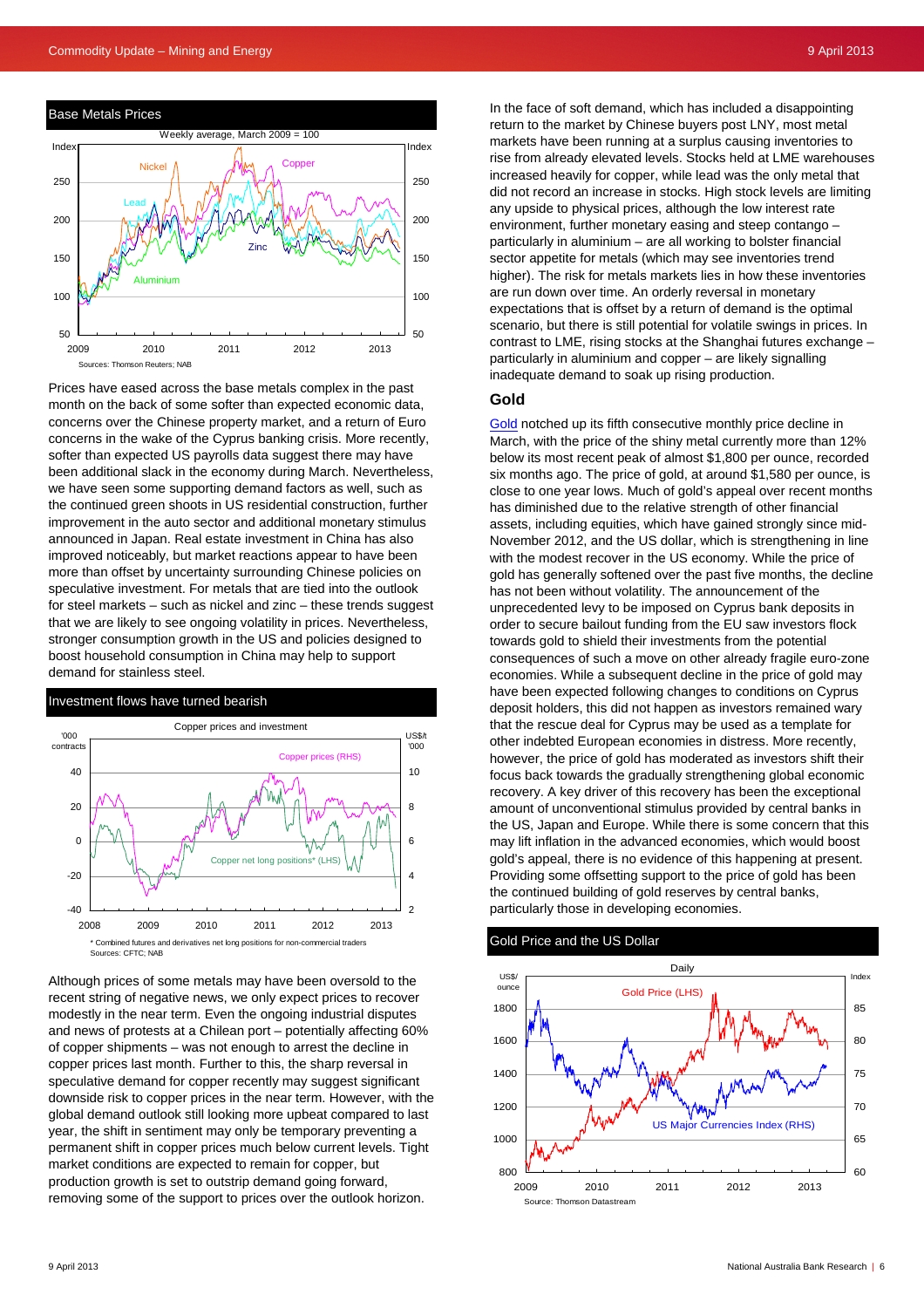![](_page_5_Figure_2.jpeg)

Prices have eased across the base metals complex in the past month on the back of some softer than expected economic data, concerns over the Chinese property market, and a return of Euro concerns in the wake of the Cyprus banking crisis. More recently, softer than expected US payrolls data suggest there may have been additional slack in the economy during March. Nevertheless, we have seen some supporting demand factors as well, such as the continued green shoots in US residential construction, further improvement in the auto sector and additional monetary stimulus announced in Japan. Real estate investment in China has also improved noticeably, but market reactions appear to have been more than offset by uncertainty surrounding Chinese policies on speculative investment. For metals that are tied into the outlook for steel markets – such as nickel and zinc – these trends suggest that we are likely to see ongoing volatility in prices. Nevertheless, stronger consumption growth in the US and policies designed to boost household consumption in China may help to support demand for stainless steel.

#### Investment flows have turned bearish

![](_page_5_Figure_5.jpeg)

Although prices of some metals may have been oversold to the recent string of negative news, we only expect prices to recover modestly in the near term. Even the ongoing industrial disputes and news of protests at a Chilean port – potentially affecting 60% of copper shipments – was not enough to arrest the decline in copper prices last month. Further to this, the sharp reversal in speculative demand for copper recently may suggest significant downside risk to copper prices in the near term. However, with the global demand outlook still looking more upbeat compared to last year, the shift in sentiment may only be temporary preventing a permanent shift in copper prices much below current levels. Tight market conditions are expected to remain for copper, but production growth is set to outstrip demand going forward, removing some of the support to prices over the outlook horizon.

In the face of soft demand, which has included a disappointing return to the market by Chinese buyers post LNY, most metal markets have been running at a surplus causing inventories to rise from already elevated levels. Stocks held at LME warehouses increased heavily for copper, while lead was the only metal that did not record an increase in stocks. High stock levels are limiting any upside to physical prices, although the low interest rate environment, further monetary easing and steep contango – particularly in aluminium – are all working to bolster financial sector appetite for metals (which may see inventories trend higher). The risk for metals markets lies in how these inventories are run down over time. An orderly reversal in monetary expectations that is offset by a return of demand is the optimal scenario, but there is still potential for volatile swings in prices. In contrast to LME, rising stocks at the Shanghai futures exchange – particularly in aluminium and copper – are likely signalling inadequate demand to soak up rising production.

#### **Gold**

[Gold](http://www.nab.com.au/wps/wcm/connect/nab/nab/home/business_solutions/10/1/13) notched up its fifth consecutive monthly price decline in March, with the price of the shiny metal currently more than 12% below its most recent peak of almost \$1,800 per ounce, recorded six months ago. The price of gold, at around \$1,580 per ounce, is close to one year lows. Much of gold's appeal over recent months has diminished due to the relative strength of other financial assets, including equities, which have gained strongly since mid-November 2012, and the US dollar, which is strengthening in line with the modest recover in the US economy. While the price of gold has generally softened over the past five months, the decline has not been without volatility. The announcement of the unprecedented levy to be imposed on Cyprus bank deposits in order to secure bailout funding from the EU saw investors flock towards gold to shield their investments from the potential consequences of such a move on other already fragile euro-zone economies. While a subsequent decline in the price of gold may have been expected following changes to conditions on Cyprus deposit holders, this did not happen as investors remained wary that the rescue deal for Cyprus may be used as a template for other indebted European economies in distress. More recently, however, the price of gold has moderated as investors shift their focus back towards the gradually strengthening global economic recovery. A key driver of this recovery has been the exceptional amount of unconventional stimulus provided by central banks in the US, Japan and Europe. While there is some concern that this may lift inflation in the advanced economies, which would boost gold's appeal, there is no evidence of this happening at present. Providing some offsetting support to the price of gold has been the continued building of gold reserves by central banks, particularly those in developing economies.

#### Gold Price and the US Dollar

![](_page_5_Figure_11.jpeg)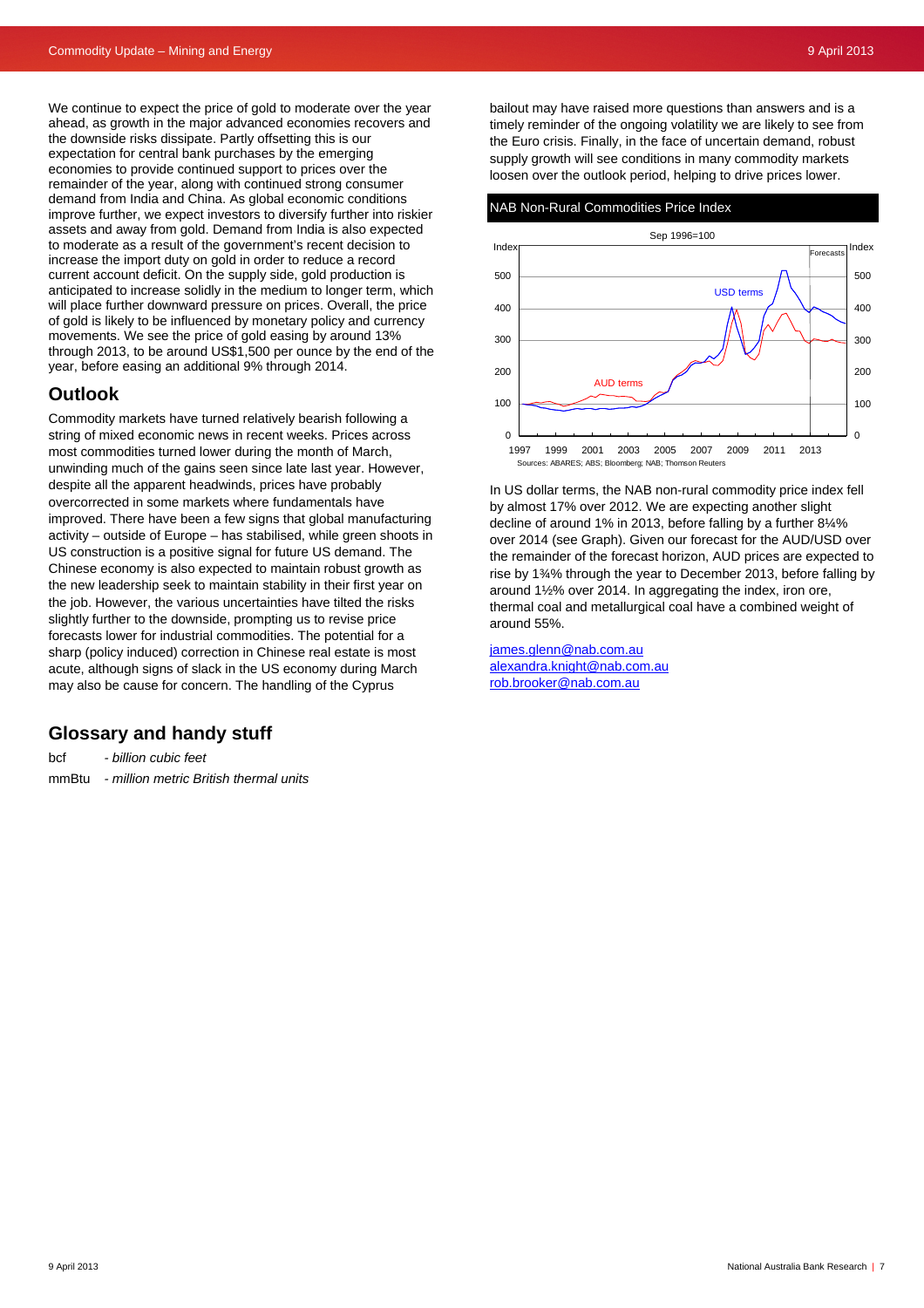We continue to expect the price of gold to moderate over the year ahead, as growth in the major advanced economies recovers and the downside risks dissipate. Partly offsetting this is our expectation for central bank purchases by the emerging economies to provide continued support to prices over the remainder of the year, along with continued strong consumer demand from India and China. As global economic conditions improve further, we expect investors to diversify further into riskier assets and away from gold. Demand from India is also expected to moderate as a result of the government's recent decision to increase the import duty on gold in order to reduce a record current account deficit. On the supply side, gold production is anticipated to increase solidly in the medium to longer term, which will place further downward pressure on prices. Overall, the price of gold is likely to be influenced by monetary policy and currency movements. We see the price of gold easing by around 13% through 2013, to be around US\$1,500 per ounce by the end of the year, before easing an additional 9% through 2014.

## **Outlook**

Commodity markets have turned relatively bearish following a string of mixed economic news in recent weeks. Prices across most commodities turned lower during the month of March, unwinding much of the gains seen since late last year. However, despite all the apparent headwinds, prices have probably overcorrected in some markets where fundamentals have improved. There have been a few signs that global manufacturing activity – outside of Europe – has stabilised, while green shoots in US construction is a positive signal for future US demand. The Chinese economy is also expected to maintain robust growth as the new leadership seek to maintain stability in their first year on the job. However, the various uncertainties have tilted the risks slightly further to the downside, prompting us to revise price forecasts lower for industrial commodities. The potential for a sharp (policy induced) correction in Chinese real estate is most acute, although signs of slack in the US economy during March may also be cause for concern. The handling of the Cyprus

## **Glossary and handy stuff**

bcf *- billion cubic feet*  mmBtu *- million metric British thermal units*  bailout may have raised more questions than answers and is a timely reminder of the ongoing volatility we are likely to see from the Euro crisis. Finally, in the face of uncertain demand, robust supply growth will see conditions in many commodity markets loosen over the outlook period, helping to drive prices lower.

#### NAB Non-Rural Commodities Price Index

![](_page_6_Figure_9.jpeg)

In US dollar terms, the NAB non-rural commodity price index fell by almost 17% over 2012. We are expecting another slight decline of around 1% in 2013, before falling by a further 8¼% over 2014 (see Graph). Given our forecast for the AUD/USD over the remainder of the forecast horizon, AUD prices are expected to rise by 1¾% through the year to December 2013, before falling by around 1½% over 2014. In aggregating the index, iron ore, thermal coal and metallurgical coal have a combined weight of around 55%.

[james.glenn@nab.com.au](mailto:james.glenn@nab.com.au) [alexandra.knight@nab.com.au](mailto:alexandra.knight@nab.com.au)  [rob.brooker@nab.com.au](mailto:rob.brooker@nab.com.au)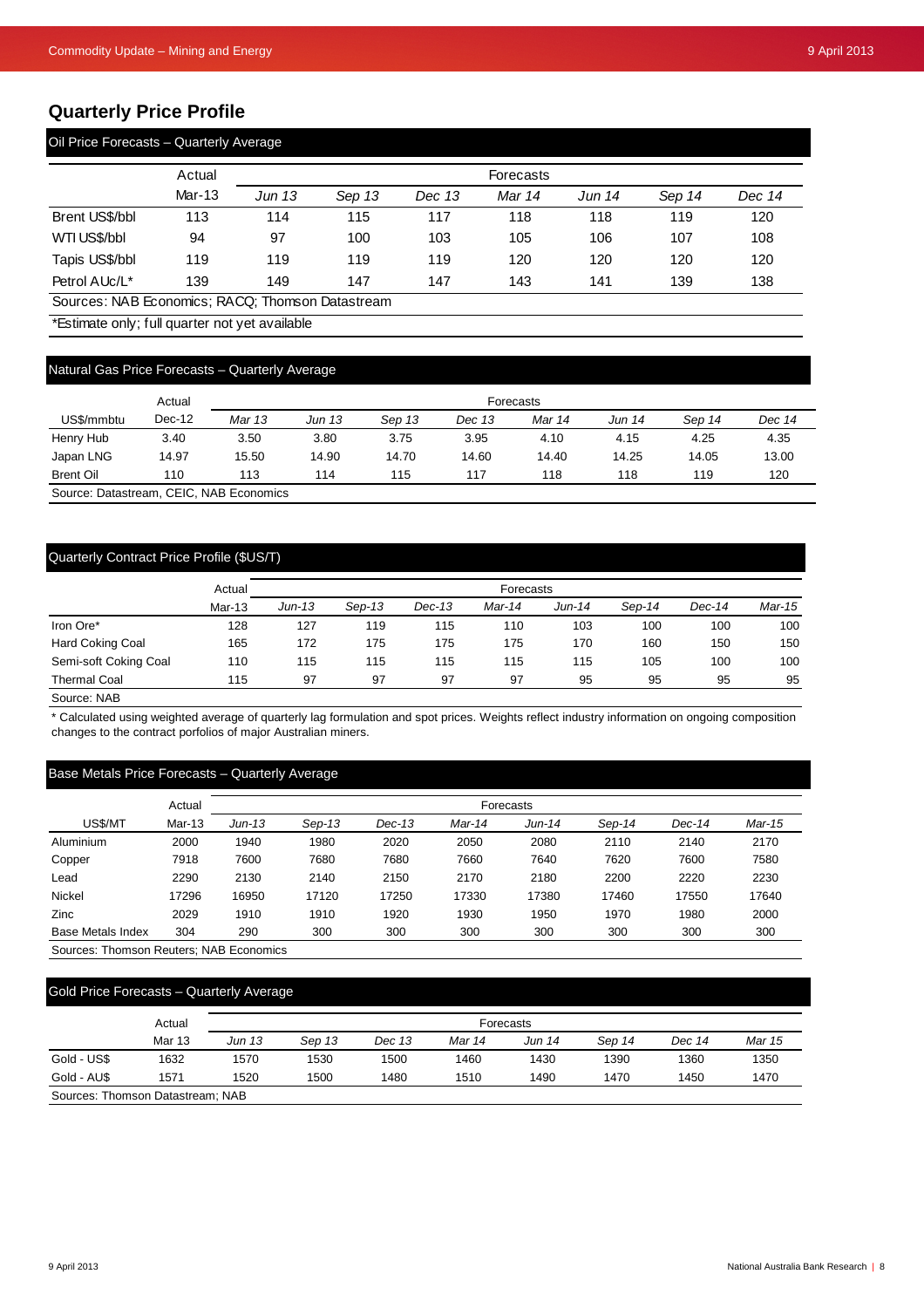## **Quarterly Price Profile**

| Oil Price Forecasts - Quarterly Average |        |               |        |        |                  |        |        |        |  |  |  |
|-----------------------------------------|--------|---------------|--------|--------|------------------|--------|--------|--------|--|--|--|
|                                         | Actual |               |        |        | <b>Forecasts</b> |        |        |        |  |  |  |
|                                         | Mar-13 | <b>Jun 13</b> | Sep 13 | Dec 13 | Mar 14           | Jun 14 | Sep 14 | Dec 14 |  |  |  |
| Brent US\$/bbl                          | 113    | 114           | 115    | 117    | 118              | 118    | 119    | 120    |  |  |  |
| WTI US\$/bbl                            | 94     | 97            | 100    | 103    | 105              | 106    | 107    | 108    |  |  |  |
| Tapis US\$/bbl                          | 119    | 119           | 119    | 119    | 120              | 120    | 120    | 120    |  |  |  |
| Petrol AUc/L <sup>*</sup>               | 139    | 149           | 147    | 147    | 143              | 141    | 139    | 138    |  |  |  |

Sources: NAB Economics; RACQ; Thomson Datastream

\*Estimate only; full quarter not yet available

## Natural Gas Price Forecasts – Quarterly Average

|                  | Actual   | Forecasts |        |        |        |        |        |        |        |
|------------------|----------|-----------|--------|--------|--------|--------|--------|--------|--------|
| US\$/mmbtu       | $Dec-12$ | Mar 13    | Jun 13 | Sep 13 | Dec 13 | Mar 14 | Jun 14 | Sep 14 | Dec 14 |
| Henry Hub        | 3.40     | 3.50      | 3.80   | 3.75   | 3.95   | 4.10   | 4.15   | 4.25   | 4.35   |
| Japan LNG        | 14.97    | 15.50     | 14.90  | 14.70  | 14.60  | 14.40  | 14.25  | 14.05  | 13.00  |
| <b>Brent Oil</b> | 110      | 113       | 114    | 115    | 117    | 118    | 118    | 119    | 120    |

Source: Datastream, CEIC, NAB Economics

## Quarterly Contract Price Profile (\$US/T)

|                       | Actual |        |          |        | <b>Forecasts</b> |        |        |        |        |
|-----------------------|--------|--------|----------|--------|------------------|--------|--------|--------|--------|
|                       | Mar-13 | Jun-13 | $Sep-13$ | Dec-13 | Mar-14           | Jun-14 | Sep-14 | Dec-14 | Mar-15 |
| Iron Ore*             | 128    | 127    | 119      | 115    | 110              | 103    | 100    | 100    | 100    |
| Hard Coking Coal      | 165    | 172    | 175      | 175    | 175              | 170    | 160    | 150    | 150    |
| Semi-soft Coking Coal | 110    | 115    | 115      | 115    | 115              | 115    | 105    | 100    | 100    |
| <b>Thermal Coal</b>   | 115    | 97     | 97       | 97     | 97               | 95     | 95     | 95     | 95     |

Source: NAB

\* Calculated using weighted average of quarterly lag formulation and spot prices. Weights reflect industry information on ongoing composition changes to the contract porfolios of major Australian miners.

## Base Metals Price Forecasts – Quarterly Average

|                   | Actual | Forecasts |          |          |        |        |        |        |        |
|-------------------|--------|-----------|----------|----------|--------|--------|--------|--------|--------|
| US\$/MT           | Mar-13 | $Jun-13$  | $Sep-13$ | $Dec-13$ | Mar-14 | Jun-14 | Sep-14 | Dec-14 | Mar-15 |
| Aluminium         | 2000   | 1940      | 1980     | 2020     | 2050   | 2080   | 2110   | 2140   | 2170   |
| Copper            | 7918   | 7600      | 7680     | 7680     | 7660   | 7640   | 7620   | 7600   | 7580   |
| Lead              | 2290   | 2130      | 2140     | 2150     | 2170   | 2180   | 2200   | 2220   | 2230   |
| <b>Nickel</b>     | 17296  | 16950     | 17120    | 17250    | 17330  | 17380  | 17460  | 17550  | 17640  |
| Zinc              | 2029   | 1910      | 1910     | 1920     | 1930   | 1950   | 1970   | 1980   | 2000   |
| Base Metals Index | 304    | 290       | 300      | 300      | 300    | 300    | 300    | 300    | 300    |

Sources: Thomson Reuters; NAB Economics

## Gold Price Forecasts – Quarterly Average

|                                  | Actual        |        |        |        |        | <b>Forecasts</b> |        |        |        |  |
|----------------------------------|---------------|--------|--------|--------|--------|------------------|--------|--------|--------|--|
|                                  | <b>Mar 13</b> | Jun 13 | Sep 13 | Dec 13 | Mar 14 | Jun 14           | Sep 14 | Dec 14 | Mar 15 |  |
| Gold - US\$                      | 1632          | 1570   | 1530   | 1500   | 1460   | 1430             | 1390   | 1360   | 1350   |  |
| Gold - AU\$                      | 1571          | 1520   | 1500   | 1480   | 1510   | 1490             | 1470   | 1450   | 1470   |  |
| Sources: Thomson Datastream; NAB |               |        |        |        |        |                  |        |        |        |  |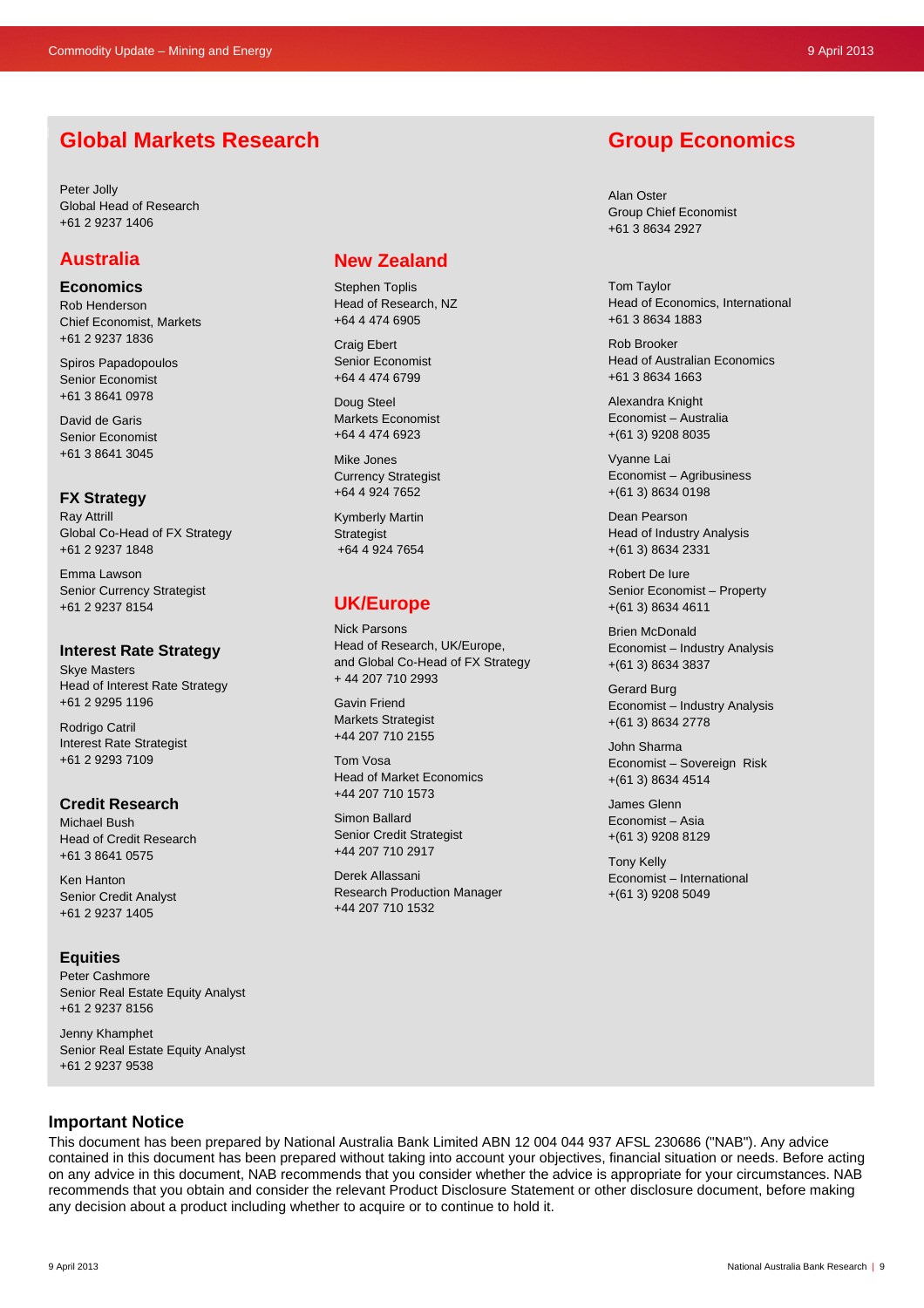# **Global Markets Research**

Peter Jolly Global Head of Research +61 2 9237 1406

## **Australia**

**Economics** 

Rob Henderson Chief Economist, Markets +61 2 9237 1836

Spiros Papadopoulos Senior Economist +61 3 8641 0978

David de Garis Senior Economist +61 3 8641 3045

## **FX Strategy**

Ray Attrill Global Co-Head of FX Strategy +61 2 9237 1848

Emma Lawson Senior Currency Strategist +61 2 9237 8154

#### **Interest Rate Strategy**

Skye Masters Head of Interest Rate Strategy +61 2 9295 1196

Rodrigo Catril Interest Rate Strategist +61 2 9293 7109

#### **Credit Research**

Michael Bush Head of Credit Research +61 3 8641 0575

Ken Hanton Senior Credit Analyst +61 2 9237 1405

## **Equities**

Peter Cashmore Senior Real Estate Equity Analyst +61 2 9237 8156

Jenny Khamphet Senior Real Estate Equity Analyst +61 2 9237 9538

## **New Zealand**

Stephen Toplis Head of Research, NZ +64 4 474 6905

Craig Ebert Senior Economist +64 4 474 6799

Doug Steel Markets Economist +64 4 474 6923

Mike Jones Currency Strategist +64 4 924 7652

Kymberly Martin **Strategist** +64 4 924 7654

# **UK/Europe**

Nick Parsons Head of Research, UK/Europe, and Global Co-Head of FX Strategy + 44 207 710 2993

Gavin Friend Markets Strategist +44 207 710 2155

Tom Vosa Head of Market Economics +44 207 710 1573

Simon Ballard Senior Credit Strategist +44 207 710 2917

Derek Allassani Research Production Manager +44 207 710 1532

# **Group Economics**

Alan Oster Group Chief Economist +61 3 8634 2927

Tom Taylor Head of Economics, International +61 3 8634 1883

Rob Brooker Head of Australian Economics +61 3 8634 1663

Alexandra Knight Economist – Australia +(61 3) 9208 8035

Vyanne Lai Economist – Agribusiness +(61 3) 8634 0198

Dean Pearson Head of Industry Analysis +(61 3) 8634 2331

Robert De Iure Senior Economist – Property +(61 3) 8634 4611

Brien McDonald Economist – Industry Analysis +(61 3) 8634 3837

Gerard Burg Economist – Industry Analysis +(61 3) 8634 2778

John Sharma Economist – Sovereign Risk +(61 3) 8634 4514

James Glenn Economist – Asia +(61 3) 9208 8129

Tony Kelly Economist – International +(61 3) 9208 5049

## **Important Notice**

This document has been prepared by National Australia Bank Limited ABN 12 004 044 937 AFSL 230686 ("NAB"). Any advice contained in this document has been prepared without taking into account your objectives, financial situation or needs. Before acting on any advice in this document, NAB recommends that you consider whether the advice is appropriate for your circumstances. NAB recommends that you obtain and consider the relevant Product Disclosure Statement or other disclosure document, before making any decision about a product including whether to acquire or to continue to hold it.